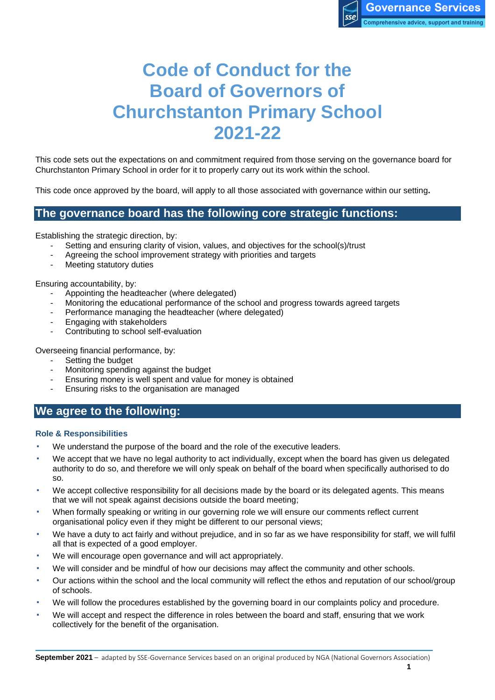# **Code of Conduct for the Board of Governors of Churchstanton Primary School 2021-22**

This code sets out the expectations on and commitment required from those serving on the governance board for Churchstanton Primary School in order for it to properly carry out its work within the school.

This code once approved by the board, will apply to all those associated with governance within our setting**.**

## **The governance board has the following core strategic functions:**

Establishing the strategic direction, by:

- Setting and ensuring clarity of vision, values, and objectives for the school(s)/trust
- Agreeing the school improvement strategy with priorities and targets
- Meeting statutory duties

Ensuring accountability, by:

- Appointing the headteacher (where delegated)
- Monitoring the educational performance of the school and progress towards agreed targets
- Performance managing the headteacher (where delegated)
- Engaging with stakeholders
- Contributing to school self-evaluation

Overseeing financial performance, by:

- Setting the budget
- Monitoring spending against the budget
- Ensuring money is well spent and value for money is obtained
- Ensuring risks to the organisation are managed

## **We agree to the following:**

#### **Role & Responsibilities**

- We understand the purpose of the board and the role of the executive leaders.
- We accept that we have no legal authority to act individually, except when the board has given us delegated authority to do so, and therefore we will only speak on behalf of the board when specifically authorised to do so.
- We accept collective responsibility for all decisions made by the board or its delegated agents. This means that we will not speak against decisions outside the board meeting;
- When formally speaking or writing in our governing role we will ensure our comments reflect current organisational policy even if they might be different to our personal views;
- We have a duty to act fairly and without prejudice, and in so far as we have responsibility for staff, we will fulfil all that is expected of a good employer.
- We will encourage open governance and will act appropriately.
- We will consider and be mindful of how our decisions may affect the community and other schools.
- Our actions within the school and the local community will reflect the ethos and reputation of our school/group of schools.
- We will follow the procedures established by the governing board in our complaints policy and procedure.
- We will accept and respect the difference in roles between the board and staff, ensuring that we work collectively for the benefit of the organisation.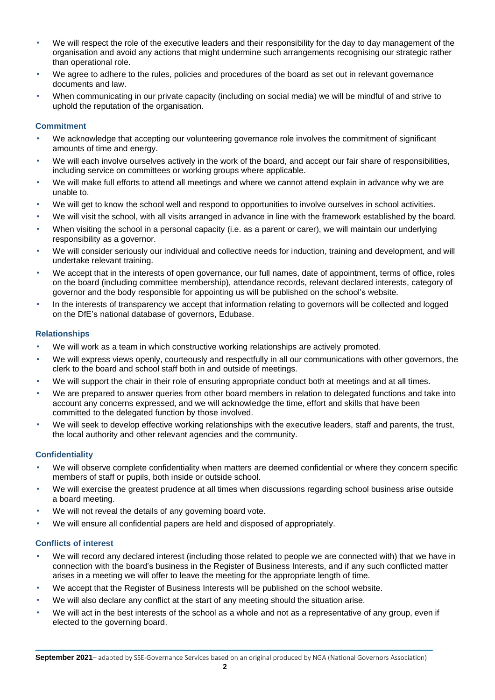- We will respect the role of the executive leaders and their responsibility for the day to day management of the organisation and avoid any actions that might undermine such arrangements recognising our strategic rather than operational role.
- We agree to adhere to the rules, policies and procedures of the board as set out in relevant governance documents and law.
- When communicating in our private capacity (including on social media) we will be mindful of and strive to uphold the reputation of the organisation.

#### **Commitment**

- We acknowledge that accepting our volunteering governance role involves the commitment of significant amounts of time and energy.
- We will each involve ourselves actively in the work of the board, and accept our fair share of responsibilities, including service on committees or working groups where applicable.
- We will make full efforts to attend all meetings and where we cannot attend explain in advance why we are unable to.
- We will get to know the school well and respond to opportunities to involve ourselves in school activities.
- We will visit the school, with all visits arranged in advance in line with the framework established by the board.
- When visiting the school in a personal capacity (i.e. as a parent or carer), we will maintain our underlying responsibility as a governor.
- We will consider seriously our individual and collective needs for induction, training and development, and will undertake relevant training.
- We accept that in the interests of open governance, our full names, date of appointment, terms of office, roles on the board (including committee membership), attendance records, relevant declared interests, category of governor and the body responsible for appointing us will be published on the school's website.
- In the interests of transparency we accept that information relating to governors will be collected and logged on the DfE's national database of governors, Edubase.

#### **Relationships**

- We will work as a team in which constructive working relationships are actively promoted.
- We will express views openly, courteously and respectfully in all our communications with other governors, the clerk to the board and school staff both in and outside of meetings.
- We will support the chair in their role of ensuring appropriate conduct both at meetings and at all times.
- We are prepared to answer queries from other board members in relation to delegated functions and take into account any concerns expressed, and we will acknowledge the time, effort and skills that have been committed to the delegated function by those involved.
- We will seek to develop effective working relationships with the executive leaders, staff and parents, the trust, the local authority and other relevant agencies and the community.

#### **Confidentiality**

- We will observe complete confidentiality when matters are deemed confidential or where they concern specific members of staff or pupils, both inside or outside school.
- We will exercise the greatest prudence at all times when discussions regarding school business arise outside a board meeting.
- We will not reveal the details of any governing board vote.
- We will ensure all confidential papers are held and disposed of appropriately.

#### **Conflicts of interest**

- We will record any declared interest (including those related to people we are connected with) that we have in connection with the board's business in the Register of Business Interests, and if any such conflicted matter arises in a meeting we will offer to leave the meeting for the appropriate length of time.
- We accept that the Register of Business Interests will be published on the school website.
- We will also declare any conflict at the start of any meeting should the situation arise.
- We will act in the best interests of the school as a whole and not as a representative of any group, even if elected to the governing board.